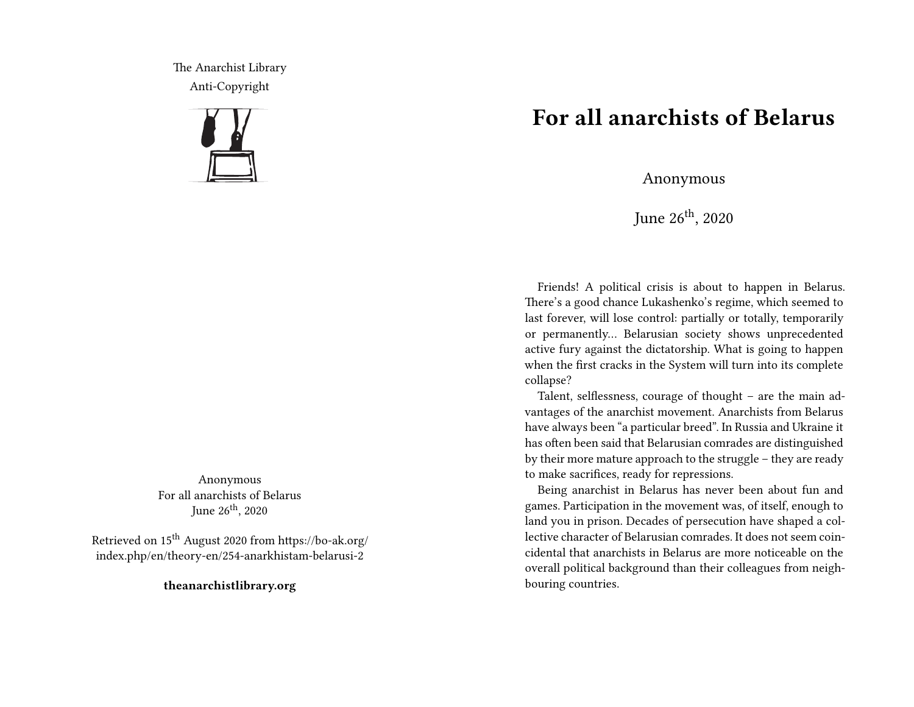The Anarchist Library Anti-Copyright



Anonymous For all anarchists of Belarus June 26<sup>th</sup>, 2020

Retrieved on 15th August 2020 from https://bo-ak.org/ index.php/en/theory-en/254-anarkhistam-belarusi-2

**theanarchistlibrary.org**

## **For all anarchists of Belarus**

Anonymous

June  $26^{th}$ , 2020

Friends! A political crisis is about to happen in Belarus. There's a good chance Lukashenko's regime, which seemed to last forever, will lose control: partially or totally, temporarily or permanently… Belarusian society shows unprecedented active fury against the dictatorship. What is going to happen when the first cracks in the System will turn into its complete collapse?

Talent, selflessness, courage of thought – are the main advantages of the anarchist movement. Anarchists from Belarus have always been "a particular breed". In Russia and Ukraine it has often been said that Belarusian comrades are distinguished by their more mature approach to the struggle – they are ready to make sacrifices, ready for repressions.

Being anarchist in Belarus has never been about fun and games. Participation in the movement was, of itself, enough to land you in prison. Decades of persecution have shaped a collective character of Belarusian comrades. It does not seem coincidental that anarchists in Belarus are more noticeable on the overall political background than their colleagues from neighbouring countries.